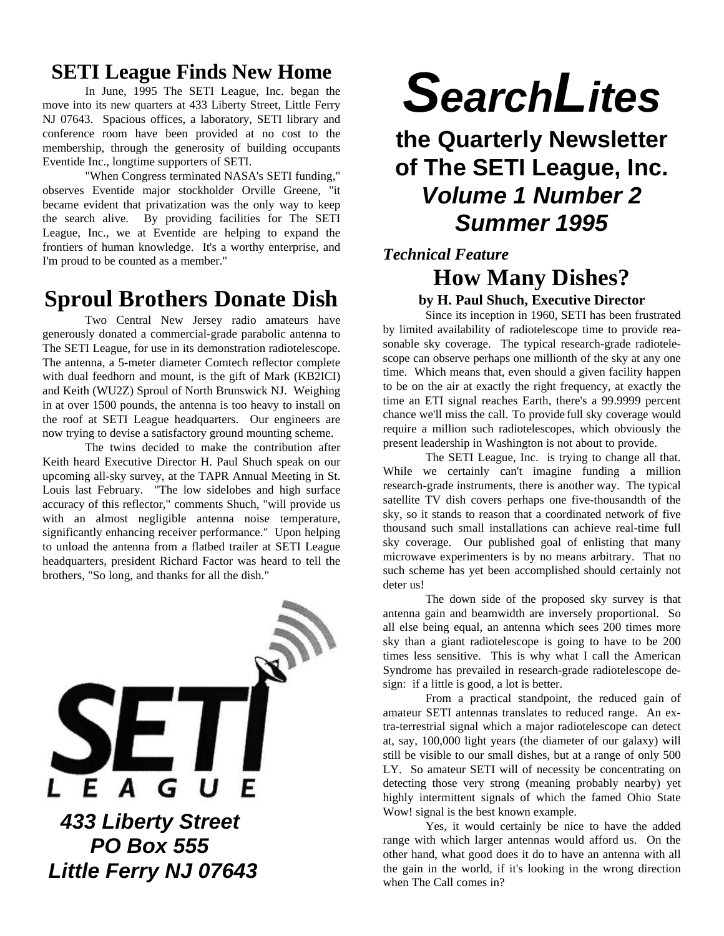## **SETI League Finds New Home**

In June, 1995 The SETI League, Inc. began the move into its new quarters at 433 Liberty Street, Little Ferry NJ 07643. Spacious offices, a laboratory, SETI library and conference room have been provided at no cost to the membership, through the generosity of building occupants Eventide Inc., longtime supporters of SETI.

"When Congress terminated NASA's SETI funding," observes Eventide major stockholder Orville Greene, "it became evident that privatization was the only way to keep the search alive. By providing facilities for The SETI League, Inc., we at Eventide are helping to expand the frontiers of human knowledge. It's a worthy enterprise, and I'm proud to be counted as a member."

# **Sproul Brothers Donate Dish**

Two Central New Jersey radio amateurs have generously donated a commercial-grade parabolic antenna to The SETI League, for use in its demonstration radiotelescope. The antenna, a 5-meter diameter Comtech reflector complete with dual feedhorn and mount, is the gift of Mark (KB2ICI) and Keith (WU2Z) Sproul of North Brunswick NJ. Weighing in at over 1500 pounds, the antenna is too heavy to install on the roof at SETI League headquarters. Our engineers are now trying to devise a satisfactory ground mounting scheme.

The twins decided to make the contribution after Keith heard Executive Director H. Paul Shuch speak on our upcoming all-sky survey, at the TAPR Annual Meeting in St. Louis last February. "The low sidelobes and high surface accuracy of this reflector," comments Shuch, "will provide us with an almost negligible antenna noise temperature, significantly enhancing receiver performance." Upon helping to unload the antenna from a flatbed trailer at SETI League headquarters, president Richard Factor was heard to tell the brothers, "So long, and thanks for all the dish."



# *SearchLites*

**the Quarterly Newsletter of The SETI League, Inc.** *Volume 1 Number 2 Summer 1995*

# *Technical Feature* **How Many Dishes?**

**by H. Paul Shuch, Executive Director**

Since its inception in 1960, SETI has been frustrated by limited availability of radiotelescope time to provide reasonable sky coverage. The typical research-grade radiotelescope can observe perhaps one millionth of the sky at any one time. Which means that, even should a given facility happen to be on the air at exactly the right frequency, at exactly the time an ETI signal reaches Earth, there's a 99.9999 percent chance we'll miss the call.To provide full sky coverage would require a million such radiotelescopes, which obviously the present leadership in Washington is not about to provide.

The SETI League, Inc. is trying to change all that. While we certainly can't imagine funding a million research-grade instruments, there is another way. The typical satellite TV dish covers perhaps one five-thousandth of the sky, so it stands to reason that a coordinated network of five thousand such small installations can achieve real-time full sky coverage. Our published goal of enlisting that many microwave experimenters is by no means arbitrary. That no such scheme has yet been accomplished should certainly not deter us!

The down side of the proposed sky survey is that antenna gain and beamwidth are inversely proportional. So all else being equal, an antenna which sees 200 times more sky than a giant radiotelescope is going to have to be 200 times less sensitive. This is why what I call the American Syndrome has prevailed in research-grade radiotelescope design: if a little is good, a lot is better.

From a practical standpoint, the reduced gain of amateur SETI antennas translates to reduced range. An extra-terrestrial signal which a major radiotelescope can detect at, say, 100,000 light years (the diameter of our galaxy) will still be visible to our small dishes, but at a range of only 500 LY. So amateur SETI will of necessity be concentrating on detecting those very strong (meaning probably nearby) yet highly intermittent signals of which the famed Ohio State Wow! signal is the best known example.

Yes, it would certainly be nice to have the added range with which larger antennas would afford us. On the other hand, what good does it do to have an antenna with all the gain in the world, if it's looking in the wrong direction when The Call comes in?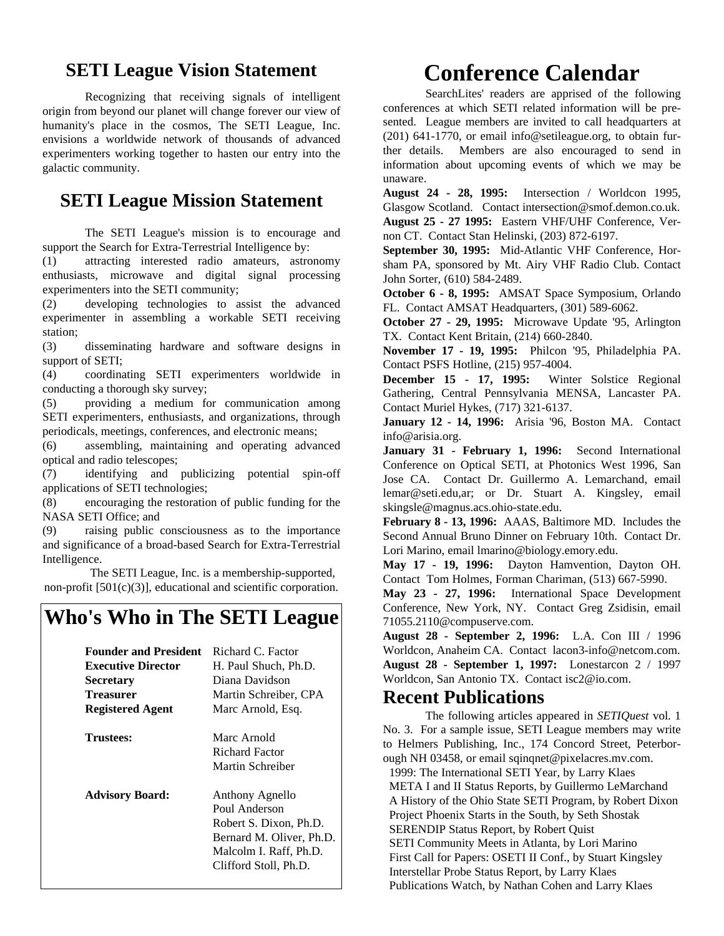#### **SETI League Vision Statement**

Recognizing that receiving signals of intelligent origin from beyond our planet will change forever our view of humanity's place in the cosmos, The SETI League, Inc. envisions a worldwide network of thousands of advanced experimenters working together to hasten our entry into the galactic community.

#### **SETI League Mission Statement**

The SETI League's mission is to encourage and support the Search for Extra-Terrestrial Intelligence by:

(1) attracting interested radio amateurs, astronomy enthusiasts, microwave and digital signal processing experimenters into the SETI community;

(2) developing technologies to assist the advanced experimenter in assembling a workable SETI receiving station;

(3) disseminating hardware and software designs in support of SETI;

(4) coordinating SETI experimenters worldwide in conducting a thorough sky survey;

(5) providing a medium for communication among SETI experimenters, enthusiasts, and organizations, through periodicals, meetings, conferences, and electronic means;

(6) assembling, maintaining and operating advanced optical and radio telescopes;

(7) identifying and publicizing potential spin-off applications of SETI technologies;

(8) encouraging the restoration of public funding for the NASA SETI Office; and

(9) raising public consciousness as to the importance and significance of a broad-based Search for Extra-Terrestrial Intelligence.

The SETI League, Inc. is a membership-supported, non-profit [501(c)(3)], educational and scientific corporation.

# **Who's Who in The SETI League**

| <b>Founder and President</b> | Richard C. Factor        |
|------------------------------|--------------------------|
| <b>Executive Director</b>    | H. Paul Shuch, Ph.D.     |
| <b>Secretary</b>             | Diana Davidson           |
| Treasurer                    | Martin Schreiber, CPA    |
| <b>Registered Agent</b>      | Marc Arnold, Esq.        |
| <b>Trustees:</b>             | Marc Arnold              |
|                              | Richard Factor           |
|                              | Martin Schreiber         |
| <b>Advisory Board:</b>       | Anthony Agnello          |
|                              | Poul Anderson            |
|                              | Robert S. Dixon, Ph.D.   |
|                              | Bernard M. Oliver, Ph.D. |
|                              | Malcolm I. Raff, Ph.D.   |
|                              | Clifford Stoll, Ph.D.    |
|                              |                          |

# **Conference Calendar**

SearchLites' readers are apprised of the following conferences at which SETI related information will be presented. League members are invited to call headquarters at (201) 641-1770, or email info@setileague.org, to obtain further details. Members are also encouraged to send in information about upcoming events of which we may be unaware.

**August 24 - 28, 1995:** Intersection / Worldcon 1995, Glasgow Scotland. Contact intersection@smof.demon.co.uk. **August 25 - 27 1995:** Eastern VHF/UHF Conference, Vernon CT. Contact Stan Helinski, (203) 872-6197.

**September 30, 1995:** Mid-Atlantic VHF Conference, Horsham PA, sponsored by Mt. Airy VHF Radio Club. Contact John Sorter, (610) 584-2489.

**October 6 - 8, 1995:** AMSAT Space Symposium, Orlando FL. Contact AMSAT Headquarters, (301) 589-6062.

**October 27 - 29, 1995:** Microwave Update '95, Arlington TX. Contact Kent Britain, (214) 660-2840.

**November 17 - 19, 1995:** Philcon '95, Philadelphia PA. Contact PSFS Hotline, (215) 957-4004.

**December 15 - 17, 1995:** Winter Solstice Regional Gathering, Central Pennsylvania MENSA, Lancaster PA. Contact Muriel Hykes, (717) 321-6137.

**January 12 - 14, 1996:** Arisia '96, Boston MA. Contact info@arisia.org.

**January 31 - February 1, 1996:** Second International Conference on Optical SETI, at Photonics West 1996, San Jose CA. Contact Dr. Guillermo A. Lemarchand, email lemar@seti.edu,ar; or Dr. Stuart A. Kingsley, email skingsle@magnus.acs.ohio-state.edu.

**February 8 - 13, 1996:** AAAS, Baltimore MD. Includes the Second Annual Bruno Dinner on February 10th. Contact Dr. Lori Marino, email lmarino@biology.emory.edu.

**May 17 - 19, 1996:** Dayton Hamvention, Dayton OH. Contact Tom Holmes, Forman Chariman, (513) 667-5990.

**May 23 - 27, 1996:** International Space Development Conference, New York, NY. Contact Greg Zsidisin, email 71055.2110@compuserve.com.

**August 28 - September 2, 1996:** L.A. Con III / 1996 Worldcon, Anaheim CA. Contact lacon3-info@netcom.com. **August 28 - September 1, 1997:** Lonestarcon 2 / 1997 Worldcon, San Antonio TX. Contact isc2@io.com.

#### **Recent Publications**

The following articles appeared in *SETIQuest* vol. 1 No. 3. For a sample issue, SETI League members may write to Helmers Publishing, Inc., 174 Concord Street, Peterborough NH 03458, or email sqinqnet@pixelacres.mv.com.

 1999: The International SETI Year, by Larry Klaes META I and II Status Reports, by Guillermo LeMarchand A History of the Ohio State SETI Program, by Robert Dixon Project Phoenix Starts in the South, by Seth Shostak SERENDIP Status Report, by Robert Quist SETI Community Meets in Atlanta, by Lori Marino First Call for Papers: OSETI II Conf., by Stuart Kingsley Interstellar Probe Status Report, by Larry Klaes Publications Watch, by Nathan Cohen and Larry Klaes